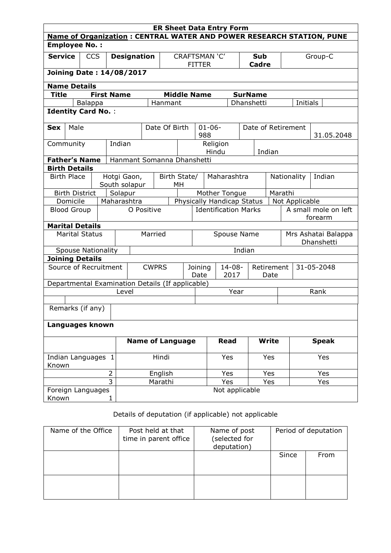| <b>ER Sheet Data Entry Form</b><br><b>Name of Organization: CENTRAL WATER AND POWER RESEARCH STATION, PUNE</b> |                       |                           |                            |              |                                                |       |     |                                                           |         |              |              |                                        |              |
|----------------------------------------------------------------------------------------------------------------|-----------------------|---------------------------|----------------------------|--------------|------------------------------------------------|-------|-----|-----------------------------------------------------------|---------|--------------|--------------|----------------------------------------|--------------|
| <b>Employee No.:</b>                                                                                           |                       |                           |                            |              |                                                |       |     |                                                           |         |              |              |                                        |              |
|                                                                                                                |                       |                           |                            |              |                                                |       |     |                                                           |         |              |              |                                        |              |
| <b>Service</b>                                                                                                 | <b>CCS</b>            |                           | <b>Designation</b>         |              | CRAFTSMAN 'C'<br><b>FITTER</b>                 |       |     |                                                           |         | <b>Sub</b>   |              |                                        | Group-C      |
|                                                                                                                |                       |                           |                            |              |                                                |       |     |                                                           |         | <b>Cadre</b> |              |                                        |              |
| <b>Joining Date: 14/08/2017</b>                                                                                |                       |                           |                            |              |                                                |       |     |                                                           |         |              |              |                                        |              |
| <b>Name Details</b>                                                                                            |                       |                           |                            |              |                                                |       |     |                                                           |         |              |              |                                        |              |
| <b>First Name</b><br><b>Middle Name</b><br><b>Title</b><br><b>SurName</b>                                      |                       |                           |                            |              |                                                |       |     |                                                           |         |              |              |                                        |              |
| Dhanshetti<br>Initials<br><b>Balappa</b><br>Hanmant<br><b>Identity Card No.:</b>                               |                       |                           |                            |              |                                                |       |     |                                                           |         |              |              |                                        |              |
|                                                                                                                |                       |                           |                            |              |                                                |       |     |                                                           |         |              |              |                                        |              |
| <b>Sex</b>                                                                                                     | Male                  |                           |                            |              | Date Of Birth                                  |       |     | $01 - 06 -$                                               |         |              |              | Date of Retirement                     |              |
|                                                                                                                |                       |                           |                            |              |                                                |       | 988 |                                                           |         |              |              |                                        | 31.05.2048   |
| Community                                                                                                      |                       |                           | Indian                     |              |                                                |       |     | Religion                                                  |         |              |              |                                        |              |
| <b>Father's Name</b>                                                                                           |                       |                           | Hanmant Somanna Dhanshetti |              |                                                |       |     | Hindu                                                     |         |              | Indian       |                                        |              |
| <b>Birth Details</b>                                                                                           |                       |                           |                            |              |                                                |       |     |                                                           |         |              |              |                                        |              |
| <b>Birth Place</b>                                                                                             |                       |                           | Hotgi Gaon,                |              | Birth State/                                   |       |     | Maharashtra                                               |         |              |              | Nationality                            | Indian       |
|                                                                                                                |                       |                           | South solapur              |              |                                                | МH    |     |                                                           |         |              |              |                                        |              |
| <b>Birth District</b>                                                                                          |                       |                           | Solapur                    |              | Mother Tongue                                  |       |     |                                                           | Marathi |              |              |                                        |              |
| Domicile                                                                                                       |                       |                           | Maharashtra                | O Positive   |                                                |       |     | Physically Handicap Status<br><b>Identification Marks</b> |         |              |              | Not Applicable<br>A small mole on left |              |
| <b>Blood Group</b>                                                                                             |                       |                           |                            |              |                                                |       |     |                                                           |         |              |              | forearm                                |              |
| <b>Marital Details</b>                                                                                         |                       |                           |                            |              |                                                |       |     |                                                           |         |              |              |                                        |              |
|                                                                                                                | <b>Marital Status</b> |                           |                            |              | Married<br>Spouse Name                         |       |     |                                                           |         |              |              | Mrs Ashatai Balappa                    |              |
|                                                                                                                |                       |                           |                            |              |                                                |       |     |                                                           |         | Dhanshetti   |              |                                        |              |
|                                                                                                                |                       | <b>Spouse Nationality</b> |                            |              |                                                |       |     |                                                           |         | Indian       |              |                                        |              |
| <b>Joining Details</b><br>Source of Recruitment                                                                |                       |                           |                            | <b>CWPRS</b> |                                                |       |     |                                                           |         |              | Retirement   |                                        | 31-05-2048   |
|                                                                                                                |                       |                           |                            |              | $14 - 08 -$<br>Joining<br>2017<br>Date         |       |     |                                                           |         | Date         |              |                                        |              |
| Departmental Examination Details (If applicable)                                                               |                       |                           |                            |              |                                                |       |     |                                                           |         |              |              |                                        |              |
|                                                                                                                |                       |                           | Level                      |              |                                                |       |     | Year                                                      |         |              |              | Rank                                   |              |
|                                                                                                                |                       |                           |                            |              |                                                |       |     |                                                           |         |              |              |                                        |              |
| Remarks (if any)                                                                                               |                       |                           |                            |              |                                                |       |     |                                                           |         |              |              |                                        |              |
| Languages known                                                                                                |                       |                           |                            |              |                                                |       |     |                                                           |         |              |              |                                        |              |
|                                                                                                                |                       |                           |                            |              |                                                |       |     |                                                           |         |              |              |                                        |              |
|                                                                                                                |                       |                           |                            |              | <b>Name of Language</b>                        |       |     | <b>Read</b>                                               |         |              | <b>Write</b> |                                        | <b>Speak</b> |
|                                                                                                                | Indian Languages 1    |                           |                            |              |                                                | Hindi |     |                                                           | Yes     | Yes          |              |                                        | Yes          |
| Known                                                                                                          |                       |                           |                            |              |                                                |       |     |                                                           |         |              |              |                                        |              |
|                                                                                                                |                       | 2                         |                            |              | English                                        |       |     | Yes<br>Yes                                                |         |              |              | Yes                                    |              |
|                                                                                                                |                       | $\overline{3}$            |                            |              | Marathi<br>Yes<br>Yes<br>Yes<br>Not applicable |       |     |                                                           |         |              |              |                                        |              |
| Foreign Languages<br>Known                                                                                     |                       | 1                         |                            |              |                                                |       |     |                                                           |         |              |              |                                        |              |
|                                                                                                                |                       |                           |                            |              |                                                |       |     |                                                           |         |              |              |                                        |              |

## Details of deputation (if applicable) not applicable

| Name of the Office | Post held at that<br>time in parent office | Name of post<br>selected for)<br>deputation) | Period of deputation |      |  |
|--------------------|--------------------------------------------|----------------------------------------------|----------------------|------|--|
|                    |                                            |                                              | Since                | From |  |
|                    |                                            |                                              |                      |      |  |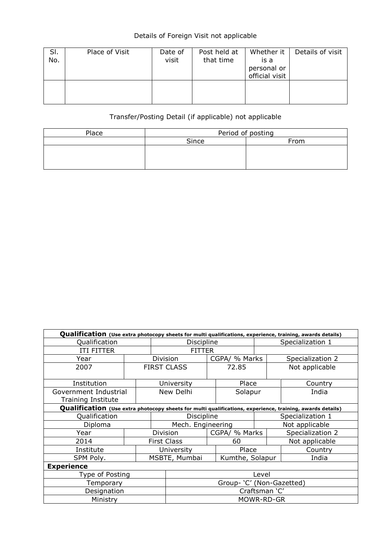## Details of Foreign Visit not applicable

| SI.<br>No. | Place of Visit | Date of<br>visit | Post held at<br>that time | Whether it<br>is a<br>personal or<br>official visit | Details of visit |
|------------|----------------|------------------|---------------------------|-----------------------------------------------------|------------------|
|            |                |                  |                           |                                                     |                  |

## Transfer/Posting Detail (if applicable) not applicable

| Place | Period of posting |      |  |  |  |  |  |
|-------|-------------------|------|--|--|--|--|--|
|       | Since             | From |  |  |  |  |  |
|       |                   |      |  |  |  |  |  |
|       |                   |      |  |  |  |  |  |
|       |                   |      |  |  |  |  |  |

| Qualification (Use extra photocopy sheets for multi qualifications, experience, training, awards details) |                           |            |                                  |               |                  |                  |                  |  |  |  |
|-----------------------------------------------------------------------------------------------------------|---------------------------|------------|----------------------------------|---------------|------------------|------------------|------------------|--|--|--|
| Qualification                                                                                             |                           | Discipline |                                  |               | Specialization 1 |                  |                  |  |  |  |
| <b>ITI FITTER</b>                                                                                         |                           |            | <b>FITTER</b>                    |               |                  |                  |                  |  |  |  |
| Year                                                                                                      |                           |            | Division                         |               | CGPA/ % Marks    |                  | Specialization 2 |  |  |  |
| 2007                                                                                                      |                           |            | <b>FIRST CLASS</b>               | 72.85         |                  |                  | Not applicable   |  |  |  |
| Institution                                                                                               |                           |            | University                       |               | Place            |                  | Country          |  |  |  |
| Government Industrial<br><b>Training Institute</b>                                                        |                           |            | New Delhi                        |               | Solapur          |                  | India            |  |  |  |
| Qualification (Use extra photocopy sheets for multi qualifications, experience, training, awards details) |                           |            |                                  |               |                  |                  |                  |  |  |  |
| Qualification                                                                                             |                           |            | Discipline                       |               |                  | Specialization 1 |                  |  |  |  |
| Diploma                                                                                                   |                           |            | Mech. Engineering                |               |                  |                  | Not applicable   |  |  |  |
| Year                                                                                                      |                           |            | Division                         | CGPA/ % Marks |                  |                  | Specialization 2 |  |  |  |
| 2014                                                                                                      |                           |            | <b>First Class</b>               | 60            |                  |                  | Not applicable   |  |  |  |
| Institute                                                                                                 |                           |            | University                       | Place         |                  |                  | Country          |  |  |  |
| SPM Poly.                                                                                                 |                           |            | Kumthe, Solapur<br>MSBTE, Mumbai |               |                  | India            |                  |  |  |  |
| <b>Experience</b>                                                                                         |                           |            |                                  |               |                  |                  |                  |  |  |  |
| Type of Posting                                                                                           | Level                     |            |                                  |               |                  |                  |                  |  |  |  |
| Temporary                                                                                                 | Group- 'C' (Non-Gazetted) |            |                                  |               |                  |                  |                  |  |  |  |
| Designation                                                                                               | Craftsman 'C'             |            |                                  |               |                  |                  |                  |  |  |  |
| Ministry                                                                                                  | MOWR-RD-GR                |            |                                  |               |                  |                  |                  |  |  |  |
|                                                                                                           |                           |            |                                  |               |                  |                  |                  |  |  |  |